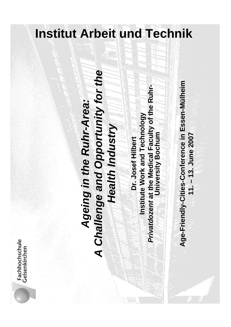### **Institut Arbeit und Technik**

### Ageing in the Ruhr-Area:<br>A Challenge and Opportunity for the<br>Health Industry<br>Dr. Josef Hilbert<br>Institute Work and Technology<br>Private area the Medical Faculty of the Ruhr-<br>Private area the Medical Faculty of the Ruhr-<br>Age-F

Fachhochschule<br>Gelsenkirchen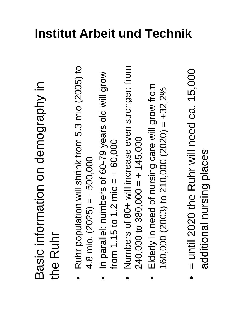# Basic information on demography in<br>the Ruhr<br>• Ruhr population will shrink from 5.3 mio (2005) to<br>4.8 mio. (2025) = - 500,000<br>• In parallel: numbers of 60-79 years old will grow<br>from 1.15 to 1.2 mio = + 60,000<br>• Numbers of

- 
- 
- -
- additional nursing places additional nursing places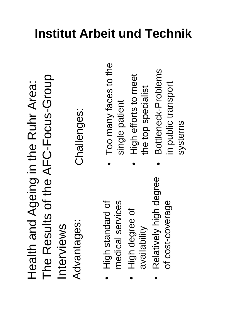Health and Ageing in the Ruhr Area:<br>The Results of the AFC-Focus-Group<br>Interviews (Interviews)<br>Advantages: Challenges:<br>• High standard of (Interviews) of the single patient<br>• High degree of (Interviews) the top specialist<br>

- 
- 
- 

- -
-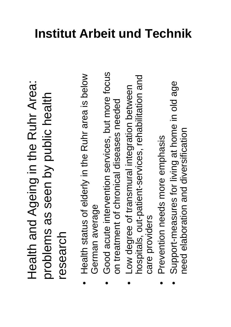Health and Ageing in the Ruhr Area: Health and Ageing in the Ruhr Area:<br>problems as seen by public health<br>research problems as seen by public health research

- 
- 
- Health status of elderly in the Ruhr area is below<br>German average<br>on treatment of chronical diseases needed<br>on treatment of chronical diseases needed<br>• Low degree of transmural integration between<br>hospitals, out-patient
	-
-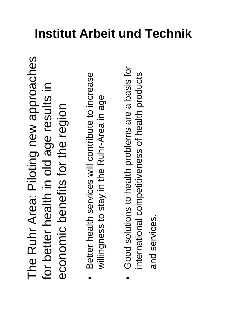The Ruhr Area: Piloting new approaches<br>for better health in old age results in<br>economic benefits for the region<br>• Beter health services will contribute to increase<br>• Willingness to stay in the Ruhr-Area in age<br>• Good solut

- 
-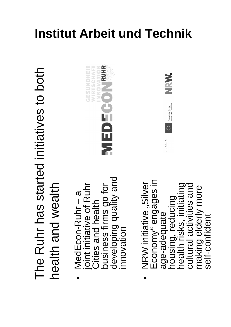# The Ruhr has started initiatives to both<br>health and wealth<br>wedEcon-Ruhr – a<br>joint initiative of Ruhr<br>Cities and health<br>business firms go for<br>developing quality and<br>innovation<br>innovation (suiture), silver<br>Economy engages in

- 
- making elderly more making elderly more self-confident self-confident





### **Institut Arbeit und Technik**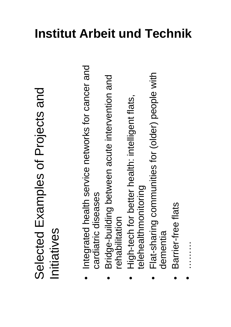## Selected Examples of Projects and<br>Initiatives<br>• Integrated health service networks for cancer and<br>cardiatric diseases<br>• Bridge-building between acute intervention and<br>• High-tech for better health: intelligent flats,<br>• Hig

- 
- -
- -
-